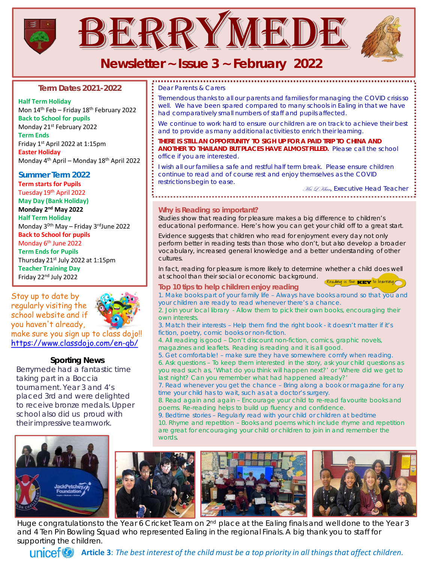

# **Newsletter ~ Issue 3 ~ February 2022**

#### **Term Dates 2021-2022**

**Half Term Holiday**  Mon 14<sup>th</sup> Feb – Friday 18<sup>th</sup> February 2022 **Back to School for pupils**  Monday 21st February 2022 **Term Ends**  Friday 1st April 2022 at 1:15pm **Easter Holiday**  Monday 4th April – Monday 18th April 2022

#### **Summer Term 2022 Term starts for Pupils**

Tuesday 19th April 2022 **May Day (Bank Holiday)**

**Monday 2nd May 2022 Half Term Holiday** 

Monday 3<sup>0th</sup> May – Friday 3<sup>rd</sup>June 2022 **Back to School for pupils** 

#### Monday 6<sup>th</sup> June 2022

**Term Ends for Pupils** Thursday 21st July 2022 at 1:15pm **Teacher Training Day** Friday 22nd July 2022

Stay up to date by regularly visiting the school website and if you haven't already,



make sure you sign up [to class dojo!!](http://www.google.co.uk/url?sa=i&rct=j&q=&esrc=s&source=images&cd=&ved=0ahUKEwifgLzuvrDPAhVEPRoKHcmcDb0QjRwIBw&url=http://mrkaltreider.com/dojo/&psig=AFQjCNFa0E-klrkiBxX-yAjqdF2N9pMgxA&ust=1475098014518437) <https://www.classdojo.com/en-gb/>

#### **Sporting News**

Berrymede had a fantastic time taking part in a Boccia tournament. Year 3 and 4's placed 3rd and were delighted to receive bronze medals. Upper school also did us proud with their impressive teamwork.

*Dear Parents & Carers*

*Tremendous thanks to all our parents and families for managing the COVID crisis so*  well. We have been spared compared to many schools in Ealing in that we have *had comparatively small numbers of staff and pupils affected.*

We continue to work hard to ensure our children are on track to achieve their best *and to provide as many additional activities to enrich their learning.*

**THERE IS STILL AN OPPORTUNITY TO SIGH UP FOR A PAID TRIP TO CHINA AND** *ANOTHER TO THAILAND BUT PLACES HAVE ALMOST FILLED. Please call the school office if you are interested.*

*I* wish all our families a safe and restful half term break. Please ensure children *continue to read and of course rest and enjoy themselves as the COVID restrictions begin to ease.* 

Mrs L Khan*, Executive Head Teacher* 

#### **Why is Reading so important?**

Studies show that reading for pleasure makes a big difference to children's educational performance. Here's how you can get your child off to a great start.

Evidence suggests that children who read for enjoyment every day not only perform better in reading tests than those who don't, but also develop a broader vocabulary, increased general knowledge and a better understanding of other cultures.

In fact, reading for pleasure is more likely to determine whether a child does well at school than their social or economic background. Reading is the KEY to learning

#### **Top 10 tips to help children enjoy reading**

1. Make books part of your family life – Always have b[ooks around so that you and](http://www.google.co.uk/url?sa=i&rct=j&q=&esrc=s&source=images&cd=&cad=rja&uact=8&ved=0ahUKEwi0s8OtytrRAhVqLMAKHQLUD0UQjRwIBw&url=http://www.grendonunderwood.bucks.sch.uk/reading/&bvm=bv.144686652,d.ZGg&psig=AFQjCNE5rG29szoaDdPa16340O_nGhOLBw&ust=1485340404400418) your children are ready to read whenever there's a chance.

2. Join your local library - Allow them to pick their own books, encouraging their own interests.

3. Match their interests – Help them find the right book - it doesn't matter if it's fiction, poetry, comic books or non-fiction.

4. All reading is good – Don't discount non-fiction, comics, graphic novels, magazines and leaflets. Reading is reading and it is all good.

5. Get comfortable! – make sure they have somewhere comfy when reading. 6. Ask questions – To keep them interested in the story, ask your child questions as you read such as, 'What do you think will happen next?' or 'Where did we get to

last night? Can you remember what had happened already?' 7. Read whenever you get the chance – Bring along a book or magazine for any

time your child has to wait, such as at a doctor's surgery. 8. Read again and again – Encourage your child to re-read favourite books and

poems. Re-reading helps to build up fluency and confidence. 9. Bedtime stories – Regularly read with your child or children at bedtime 10. Rhyme and repetition – Books and poems which include rhyme and repetition are great for encouraging your child or children to join in and remember the words.



Huge congratulations to the Year 6 Cricket Team on 2<sup>nd</sup> place at the Ealing finals and well done to the Year 3 and 4 Ten Pin Bowling Squad who represented Ealing in the regional Finals. A big thank you to staff for supporting the children.

**Article 3**: *The best interest of the child must be a top priority in all things that affect children.*